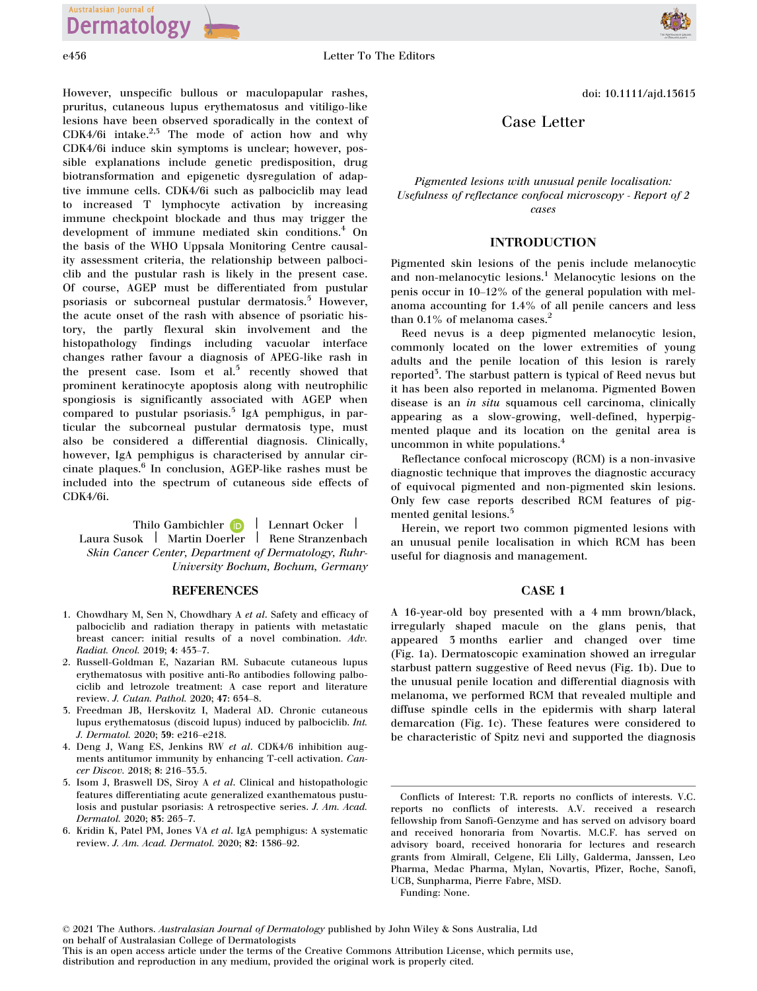

doi: 10.1111/ajd.13615

# Case Letter

# Pigmented lesions with unusual penile localisation: Usefulness of reflectance confocal microscopy - Report of 2 cases

### **INTRODUCTION** INTRODUCTION

Pigmented skin lesions of the penis include melanocytic and non-melanocytic lesions.<sup>1</sup> Melanocytic lesions on the penis occur in 10–12% of the general population with melanoma accounting for 1.4% of all penile cancers and less than 0.1% of melanoma cases. $2$ 

Reed nevus is a deep pigmented melanocytic lesion, commonly located on the lower extremities of young adults and the penile location of this lesion is rarely reported<sup>5</sup>. The starbust pattern is typical of Reed nevus but it has been also reported in melanoma. Pigmented Bowen disease is an in situ squamous cell carcinoma, clinically appearing as a slow-growing, well-defined, hyperpigmented plaque and its location on the genital area is uncommon in white populations.<sup>4</sup>

Reflectance confocal microscopy (RCM) is a non-invasive diagnostic technique that improves the diagnostic accuracy of equivocal pigmented and non-pigmented skin lesions. Only few case reports described RCM features of pigmented genital lesions.<sup>5</sup>

Herein, we report two common pigmented lesions with an unusual penile localisation in which RCM has been useful for diagnosis and management.

## CASE<sub>1</sub>

A 16-year-old boy presented with a 4 mm brown/black, irregularly shaped macule on the glans penis, that appeared 3 months earlier and changed over time (Fig. 1a). Dermatoscopic examination showed an irregular starbust pattern suggestive of Reed nevus (Fig. 1b). Due to the unusual penile location and differential diagnosis with melanoma, we performed RCM that revealed multiple and diffuse spindle cells in the epidermis with sharp lateral demarcation (Fig. 1c). These features were considered to be characteristic of Spitz nevi and supported the diagnosis

Funding: None.

© 2021 The Authors. Australasian Journal of Dermatology published by John Wiley & Sons Australia, Ltd

on behalf of Australasian College of Dermatologists

This is an open access article under the terms of the [Creative Commons Attribution](http://creativecommons.org/licenses/by/4.0/) License, which permits use, distribution and reproduction in any medium, provided the original work is properly cited.

pruritus, cutaneous lupus erythematosus and vitiligo-like

However, unspecific bullous or maculopapular rashes,

lesions have been observed sporadically in the context of CDK4/6i intake. $2,5$  The mode of action how and why CDK4/6i induce skin symptoms is unclear; however, possible explanations include genetic predisposition, drug biotransformation and epigenetic dysregulation of adaptive immune cells. CDK4/6i such as palbociclib may lead to increased T lymphocyte activation by increasing immune checkpoint blockade and thus may trigger the development of immune mediated skin conditions.<sup>4</sup> On the basis of the WHO Uppsala Monitoring Centre causality assessment criteria, the relationship between palbociclib and the pustular rash is likely in the present case. Of course, AGEP must be differentiated from pustular psoriasis or subcorneal pustular dermatosis.<sup>5</sup> However, the acute onset of the rash with absence of psoriatic history, the partly flexural skin involvement and the histopathology findings including vacuolar interface changes rather favour a diagnosis of APEG-like rash in the present case. Isom et  $al.5$  recently showed that prominent keratinocyte apoptosis along with neutrophilic spongiosis is significantly associated with AGEP when compared to pustular psoriasis.<sup>5</sup> IgA pemphigus, in particular the subcorneal pustular dermatosis type, must also be considered a differential diagnosis. Clinically, however, IgA pemphigus is characterised by annular circinate plaques.<sup>6</sup> In conclusion, AGEP-like rashes must be included into the spectrum of cutaneous side effects of CDK4/6i.

Thilo Gambichle[r](https://orcid.org/0000-0001-7862-3695) **D** Lennart Ocker Laura Susok | Martin Doerler | Rene Stranzenbach Skin Cancer Center, Department of Dermatology, Ruhr-University Bochum, Bochum, Germany

- 1. Chowdhary M, Sen N, Chowdhary A et al. Safety and efficacy of palbociclib and radiation therapy in patients with metastatic breast cancer: initial results of a novel combination. Adv. Radiat. Oncol. 2019; 4: 453–7.
- 2. Russell-Goldman E, Nazarian RM. Subacute cutaneous lupus erythematosus with positive anti-Ro antibodies following palbociclib and letrozole treatment: A case report and literature review. J. Cutan. Pathol. 2020; 47: 654–8.
- 3. Freedman JB, Herskovitz I, Maderal AD. Chronic cutaneous lupus erythematosus (discoid lupus) induced by palbociclib. Int. J. Dermatol. 2020; 59: e216–e218.
- 4. Deng J, Wang ES, Jenkins RW et al. CDK4/6 inhibition augments antitumor immunity by enhancing T-cell activation. Cancer Discov. 2018; 8: 216–33.5.
- 5. Isom J, Braswell DS, Siroy A et al. Clinical and histopathologic features differentiating acute generalized exanthematous pustulosis and pustular psoriasis: A retrospective series. J. Am. Acad. Dermatol. 2020; 83: 265–7.
- 6. Kridin K, Patel PM, Jones VA et al. IgA pemphigus: A systematic review. J. Am. Acad. Dermatol. 2020; 82: 1386–92.

Conflicts of Interest: T.R. reports no conflicts of interests. V.C. reports no conflicts of interests. A.V. received a research fellowship from Sanofi-Genzyme and has served on advisory board and received honoraria from Novartis. M.C.F. has served on advisory board, received honoraria for lectures and research grants from Almirall, Celgene, Eli Lilly, Galderma, Janssen, Leo Pharma, Medac Pharma, Mylan, Novartis, Pfizer, Roche, Sanofi, UCB, Sunpharma, Pierre Fabre, MSD.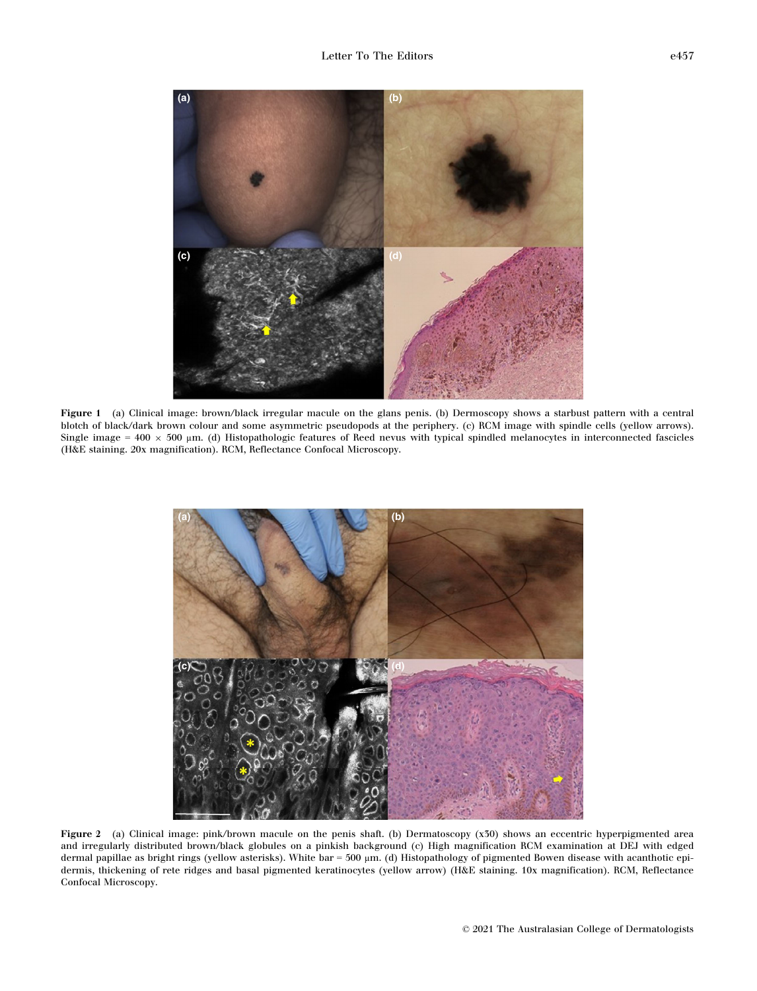

Figure 1 (a) Clinical image: brown/black irregular macule on the glans penis. (b) Dermoscopy shows a starbust pattern with a central blotch of black/dark brown colour and some asymmetric pseudopods at the periphery. (c) RCM image with spindle cells (yellow arrows). Single image =  $400 \times 500$  µm. (d) Histopathologic features of Reed nevus with typical spindled melanocytes in interconnected fascicles (H&E staining. 20x magnification). RCM, Reflectance Confocal Microscopy.



Figure 2 (a) Clinical image: pink/brown macule on the penis shaft. (b) Dermatoscopy (x30) shows an eccentric hyperpigmented area and irregularly distributed brown/black globules on a pinkish background (c) High magnification RCM examination at DEJ with edged dermal papillae as bright rings (yellow asterisks). White bar = 500  $\mu$ m. (d) Histopathology of pigmented Bowen disease with acanthotic epidermis, thickening of rete ridges and basal pigmented keratinocytes (yellow arrow) (H&E staining. 10x magnification). RCM, Reflectance Confocal Microscopy.